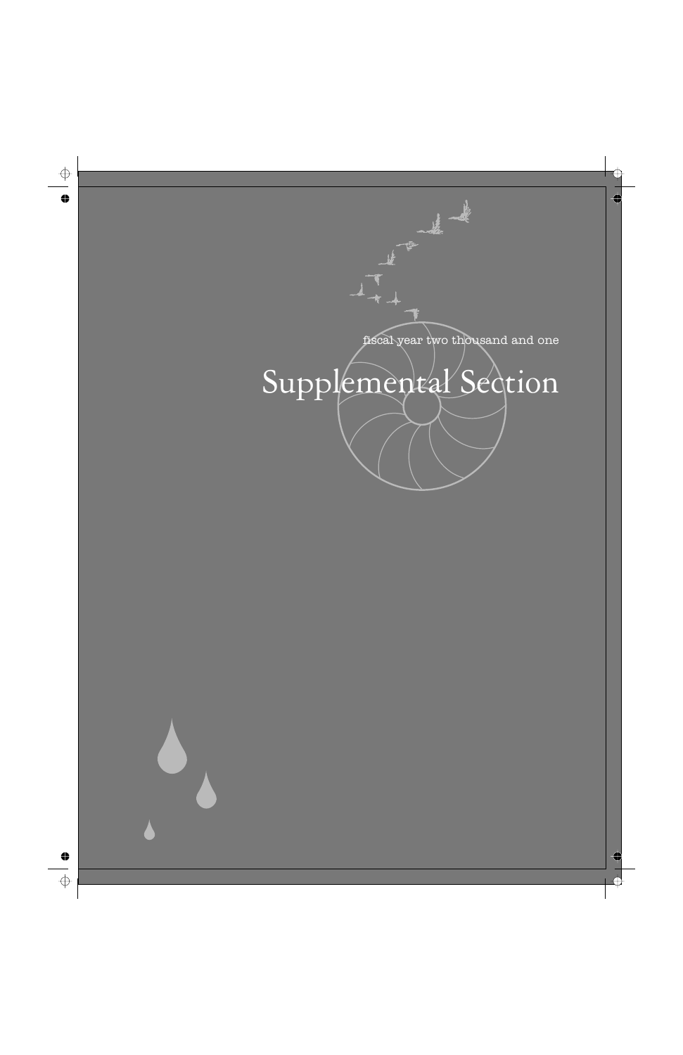

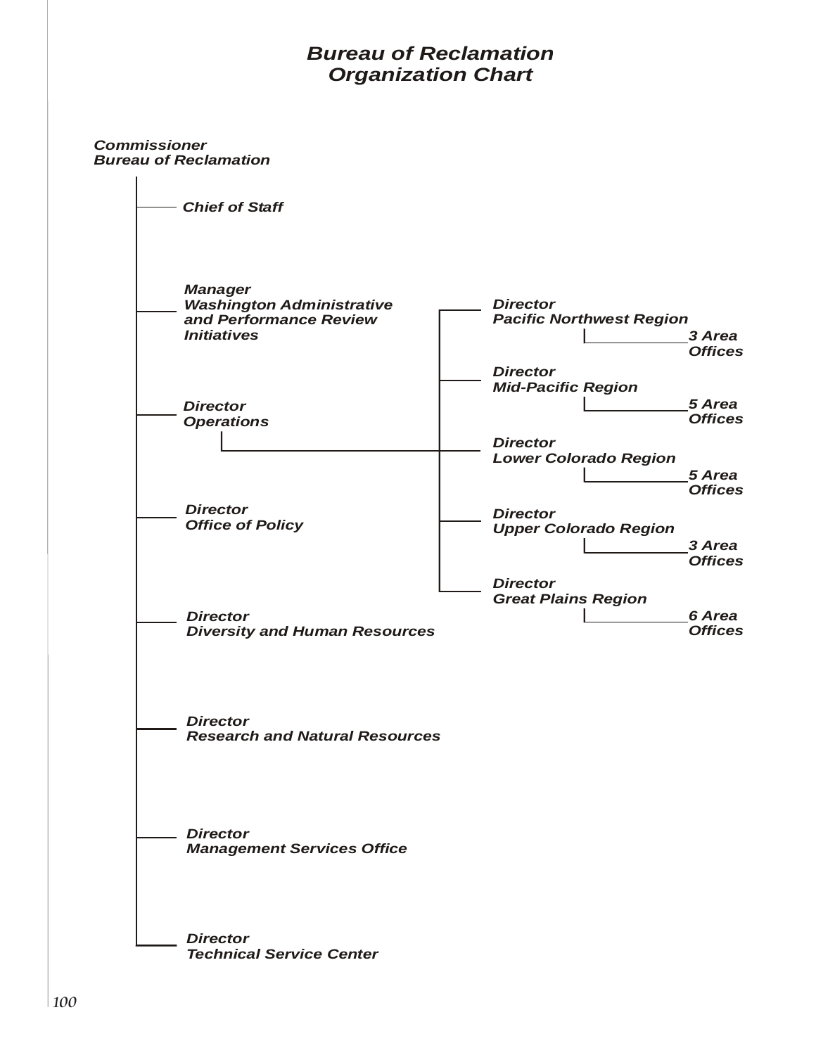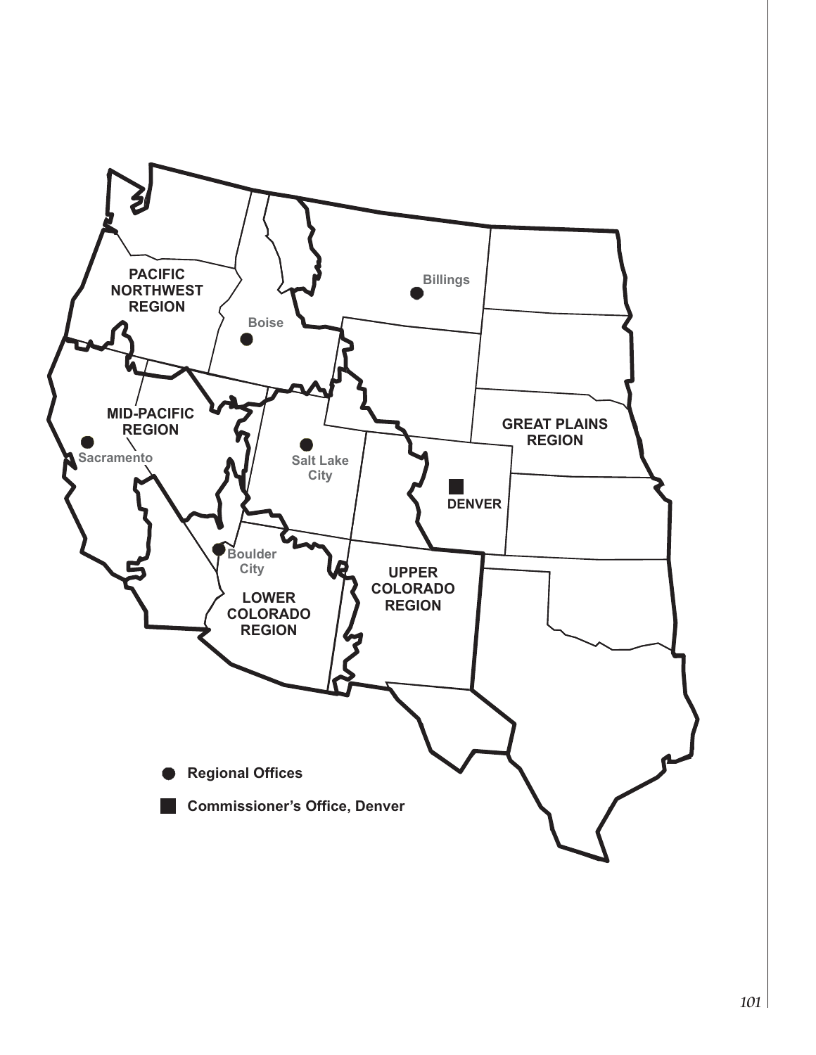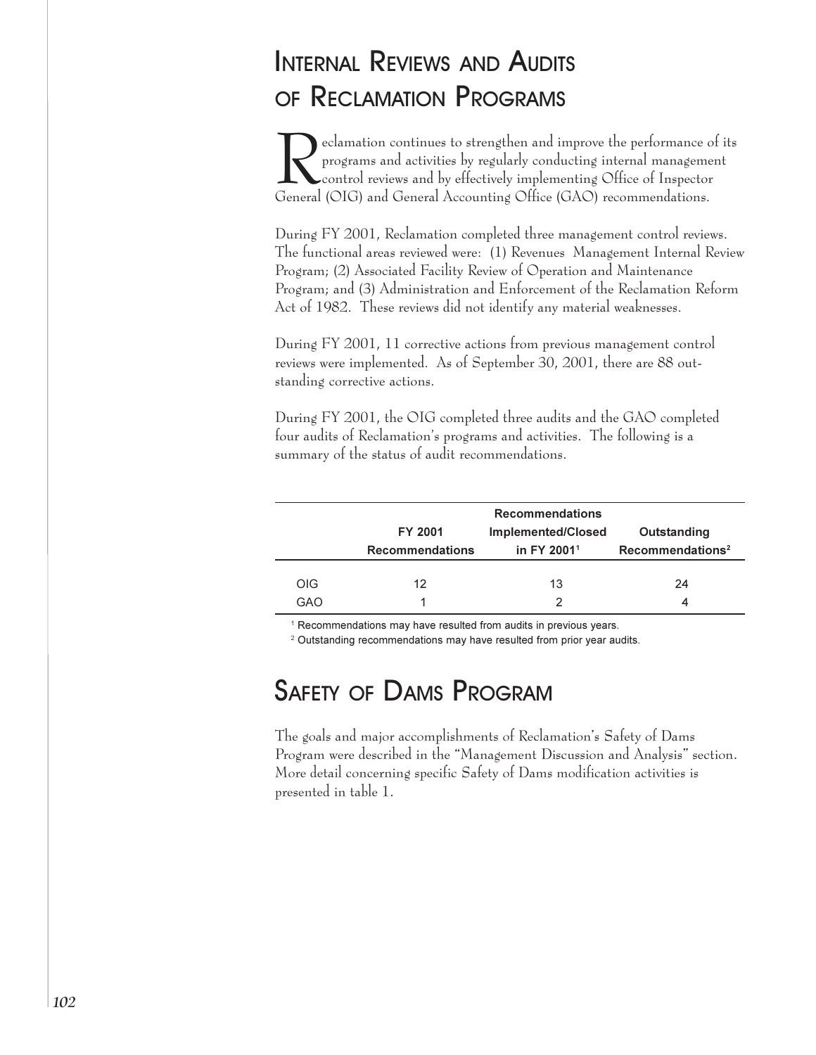# <span id="page-3-0"></span>**INTERNAL REVIEWS AND AUDITS** OF RECLAMATION PROGRAMS

eclamation continues to strengthen and improve the performance of its programs and activities by regularly conducting internal management control reviews and by effectively implementing Office of Inspector General (OIG) and General Accounting Office (GAO) recommendations.

During FY 2001, Reclamation completed three management control reviews. The functional areas reviewed were: (1) Revenues Management Internal Review Program; (2) Associated Facility Review of Operation and Maintenance Program; and (3) Administration and Enforcement of the Reclamation Reform Act of 1982. These reviews did not identify any material weaknesses.

During FY 2001, 11 corrective actions from previous management control reviews were implemented. As of September 30, 2001, there are 88 outstanding corrective actions.

During FY 2001, the OIG completed three audits and the GAO completed four audits of Reclamation's programs and activities. The following is a summary of the status of audit recommendations.

|                   | <b>FY 2001</b><br><b>Recommendations</b> | <b>Recommendations</b><br>Implemented/Closed<br>in FY 2001 <sup>1</sup> | Outstanding<br>Recommendations <sup>2</sup> |
|-------------------|------------------------------------------|-------------------------------------------------------------------------|---------------------------------------------|
| <b>OIG</b><br>GAO | 12                                       | 13                                                                      | 24                                          |

<sup>1</sup> Recommendations may have resulted from audits in previous years.

<sup>2</sup> Outstanding recommendations may have resulted from prior year audits.

# **SAFETY OF DAMS PROGRAM**

The goals and major accomplishments of Reclamation's Safety of Dams Program were described in the "Management Discussion and Analysis" section. More detail concerning specific Safety of Dams modification activities is presented in table 1.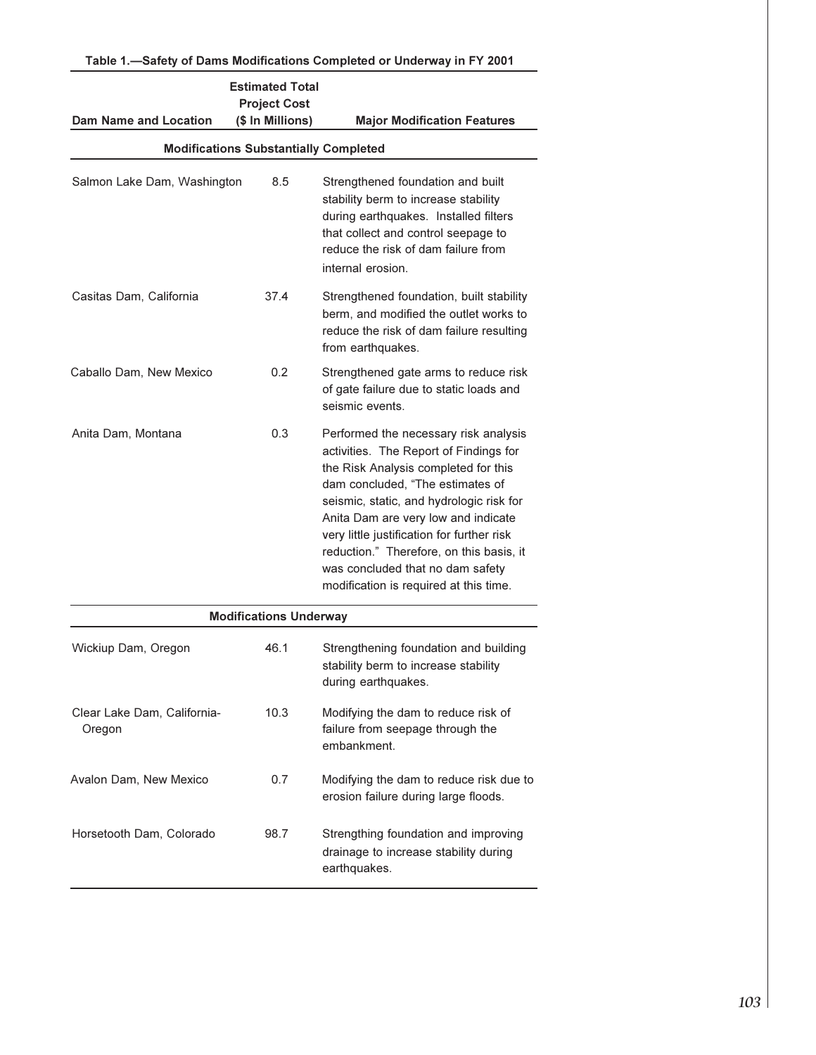| <b>Estimated Total</b><br><b>Project Cost</b><br>(\$ In Millions)<br><b>Dam Name and Location</b><br><b>Major Modification Features</b> |                               |                                                                                                                                                                                                                                                                                                                                                                                                                        |  |  |  |  |
|-----------------------------------------------------------------------------------------------------------------------------------------|-------------------------------|------------------------------------------------------------------------------------------------------------------------------------------------------------------------------------------------------------------------------------------------------------------------------------------------------------------------------------------------------------------------------------------------------------------------|--|--|--|--|
| <b>Modifications Substantially Completed</b>                                                                                            |                               |                                                                                                                                                                                                                                                                                                                                                                                                                        |  |  |  |  |
| Salmon Lake Dam, Washington                                                                                                             | 8.5                           | Strengthened foundation and built<br>stability berm to increase stability<br>during earthquakes. Installed filters<br>that collect and control seepage to<br>reduce the risk of dam failure from<br>internal erosion.                                                                                                                                                                                                  |  |  |  |  |
| Casitas Dam, California                                                                                                                 | 37.4                          | Strengthened foundation, built stability<br>berm, and modified the outlet works to<br>reduce the risk of dam failure resulting<br>from earthquakes.                                                                                                                                                                                                                                                                    |  |  |  |  |
| Caballo Dam, New Mexico                                                                                                                 | 0.2                           | Strengthened gate arms to reduce risk<br>of gate failure due to static loads and<br>seismic events.                                                                                                                                                                                                                                                                                                                    |  |  |  |  |
| Anita Dam, Montana                                                                                                                      | 0.3                           | Performed the necessary risk analysis<br>activities. The Report of Findings for<br>the Risk Analysis completed for this<br>dam concluded, "The estimates of<br>seismic, static, and hydrologic risk for<br>Anita Dam are very low and indicate<br>very little justification for further risk<br>reduction." Therefore, on this basis, it<br>was concluded that no dam safety<br>modification is required at this time. |  |  |  |  |
|                                                                                                                                         | <b>Modifications Underway</b> |                                                                                                                                                                                                                                                                                                                                                                                                                        |  |  |  |  |
| Wickiup Dam, Oregon                                                                                                                     | 46.1                          | Strengthening foundation and building<br>stability berm to increase stability<br>during earthquakes.                                                                                                                                                                                                                                                                                                                   |  |  |  |  |
| Clear Lake Dam, California-<br>Oregon                                                                                                   | 10.3                          | Modifying the dam to reduce risk of<br>failure from seepage through the<br>embankment.                                                                                                                                                                                                                                                                                                                                 |  |  |  |  |
| Avalon Dam, New Mexico                                                                                                                  | 0.7                           | Modifying the dam to reduce risk due to<br>erosion failure during large floods.                                                                                                                                                                                                                                                                                                                                        |  |  |  |  |
| Horsetooth Dam, Colorado                                                                                                                | 98.7                          | Strengthing foundation and improving<br>drainage to increase stability during<br>earthquakes.                                                                                                                                                                                                                                                                                                                          |  |  |  |  |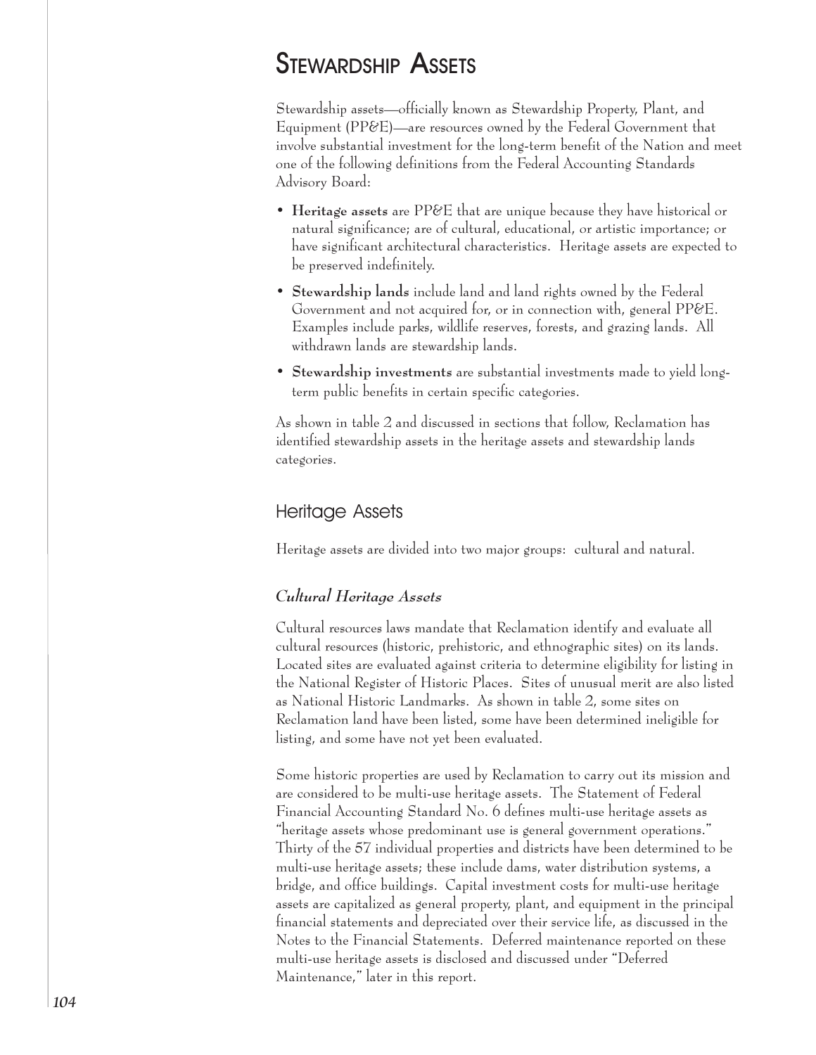# **STEWARDSHIP ASSETS**

Stewardship assets-officially known as Stewardship Property, Plant, and Equipment (PP&E)—are resources owned by the Federal Government that involve substantial investment for the long-term benefit of the Nation and meet one of the following definitions from the Federal Accounting Standards Advisory Board:

- Heritage assets are PP&E that are unique because they have historical or natural significance; are of cultural, educational, or artistic importance; or have significant architectural characteristics. Heritage assets are expected to be preserved indefinitely.
- Stewardship lands include land and land rights owned by the Federal Government and not acquired for, or in connection with, general PP&E. Examples include parks, wildlife reserves, forests, and grazing lands. All withdrawn lands are stewardship lands.
- Stewardship investments are substantial investments made to yield longterm public benefits in certain specific categories.

As shown in table 2 and discussed in sections that follow, Reclamation has identified stewardship assets in the heritage assets and stewardship lands categories.

## **Heritage Assets**

Heritage assets are divided into two major groups: cultural and natural.

### Cultural Heritage Assets

Cultural resources laws mandate that Reclamation identify and evaluate all cultural resources (historic, prehistoric, and ethnographic sites) on its lands. Located sites are evaluated against criteria to determine eligibility for listing in the National Register of Historic Places. Sites of unusual merit are also listed as National Historic Landmarks. As shown in table 2, some sites on Reclamation land have been listed, some have been determined ineligible for listing, and some have not yet been evaluated.

Some historic properties are used by Reclamation to carry out its mission and are considered to be multi-use heritage assets. The Statement of Federal Financial Accounting Standard No. 6 defines multi-use heritage assets as "heritage assets whose predominant use is general government operations." Thirty of the 57 individual properties and districts have been determined to be multi-use heritage assets; these include dams, water distribution systems, a bridge, and office buildings. Capital investment costs for multi-use heritage assets are capitalized as general property, plant, and equipment in the principal financial statements and depreciated over their service life, as discussed in the Notes to the Financial Statements. Deferred maintenance reported on these multi-use heritage assets is disclosed and discussed under "Deferred Maintenance," later in this report.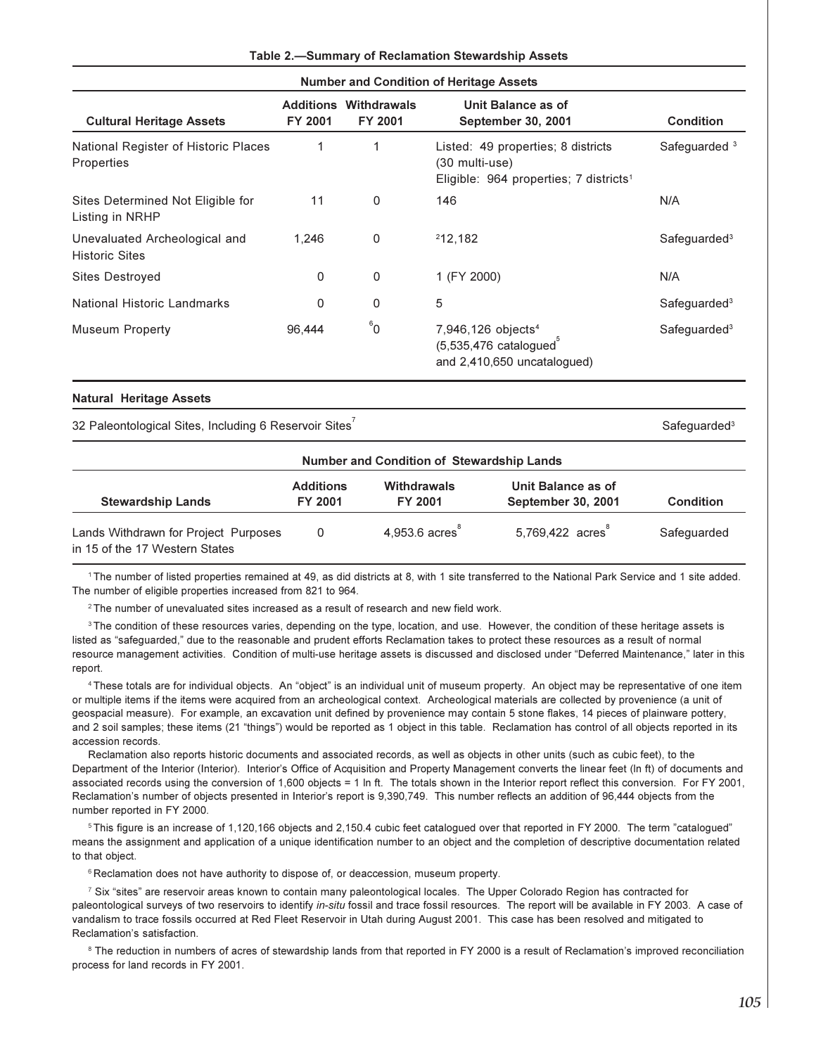### Table 2.—Summary of Reclamation Stewardship Assets

**Number and Condition of Heritage Assets** 

| <b>Cultural Heritage Assets</b>                        | Additions<br>FY 2001 | Withdrawals<br><b>FY 2001</b> | Unit Balance as of<br><b>September 30, 2001</b>                                                            | Condition                |
|--------------------------------------------------------|----------------------|-------------------------------|------------------------------------------------------------------------------------------------------------|--------------------------|
| National Register of Historic Places<br>Properties     | 1                    |                               | Listed: 49 properties; 8 districts<br>(30 multi-use)<br>Eligible: 964 properties; 7 districts <sup>1</sup> | Safeguarded <sup>3</sup> |
| Sites Determined Not Eligible for<br>Listing in NRHP   | 11                   | 0                             | 146                                                                                                        | N/A                      |
| Unevaluated Archeological and<br><b>Historic Sites</b> | 1.246                | 0                             | 212.182                                                                                                    | Safeguarded <sup>3</sup> |
| Sites Destroyed                                        | 0                    | 0                             | 1 (FY 2000)                                                                                                | N/A                      |
| National Historic Landmarks                            | 0                    | 0                             | 5                                                                                                          | Safeguarded <sup>3</sup> |
| <b>Museum Property</b>                                 | 96,444               | $^6$ 0                        | 7,946,126 objects <sup>4</sup><br>$(5,535,476 \text{ catalogued}^3)$<br>and 2,410,650 uncatalogued)        | Safeguarded <sup>3</sup> |

#### **Natural Heritage Assets**

32 Paleontological Sites, Including 6 Reservoir Sites

FY 2001 FY 2001 **Stewardship Lands** September 30, 2001 **Condition** 4.953.6 acres 5.769.422 acres Lands Withdrawn for Project Purposes  $\Omega$ Safequarded in 15 of the 17 Western States

Number and Condition of Stewardship Lands

Unit Balance as of

**Withdrawals** 

1The number of listed properties remained at 49, as did districts at 8, with 1 site transferred to the National Park Service and 1 site added. The number of eligible properties increased from 821 to 964.

<sup>2</sup>The number of unevaluated sites increased as a result of research and new field work.

**Additions** 

<sup>3</sup>The condition of these resources varies, depending on the type, location, and use. However, the condition of these heritage assets is listed as "safequarded," due to the reasonable and prudent efforts Reclamation takes to protect these resources as a result of normal resource management activities. Condition of multi-use heritage assets is discussed and disclosed under "Deferred Maintenance," later in this report.

<sup>4</sup>These totals are for individual objects. An "object" is an individual unit of museum property. An object may be representative of one item or multiple items if the items were acquired from an archeological context. Archeological materials are collected by provenience (a unit of geospacial measure). For example, an excavation unit defined by provenience may contain 5 stone flakes, 14 pieces of plainware pottery, and 2 soil samples; these items (21 "things") would be reported as 1 object in this table. Reclamation has control of all objects reported in its accession records.

Reclamation also reports historic documents and associated records, as well as objects in other units (such as cubic feet), to the Department of the Interior (Interior). Interior's Office of Acquisition and Property Management converts the linear feet (In ft) of documents and associated records using the conversion of 1,600 objects = 1 In ft. The totals shown in the Interior report reflect this conversion. For FY 2001, Reclamation's number of objects presented in Interior's report is 9,390,749. This number reflects an addition of 96,444 objects from the number reported in FY 2000.

<sup>5</sup>This figure is an increase of 1,120,166 objects and 2,150.4 cubic feet catalogued over that reported in FY 2000. The term "catalogued" means the assignment and application of a unique identification number to an object and the completion of descriptive documentation related to that object.

<sup>6</sup> Reclamation does not have authority to dispose of, or deaccession, museum property.

7 Six "sites" are reservoir areas known to contain many paleontological locales. The Upper Colorado Region has contracted for paleontological surveys of two reservoirs to identify in-situ fossil and trace fossil resources. The report will be available in FY 2003. A case of vandalism to trace fossils occurred at Red Fleet Reservoir in Utah during August 2001. This case has been resolved and mitigated to Reclamation's satisfaction.

<sup>8</sup> The reduction in numbers of acres of stewardship lands from that reported in FY 2000 is a result of Reclamation's improved reconciliation process for land records in FY 2001.

Safeguarded<sup>3</sup>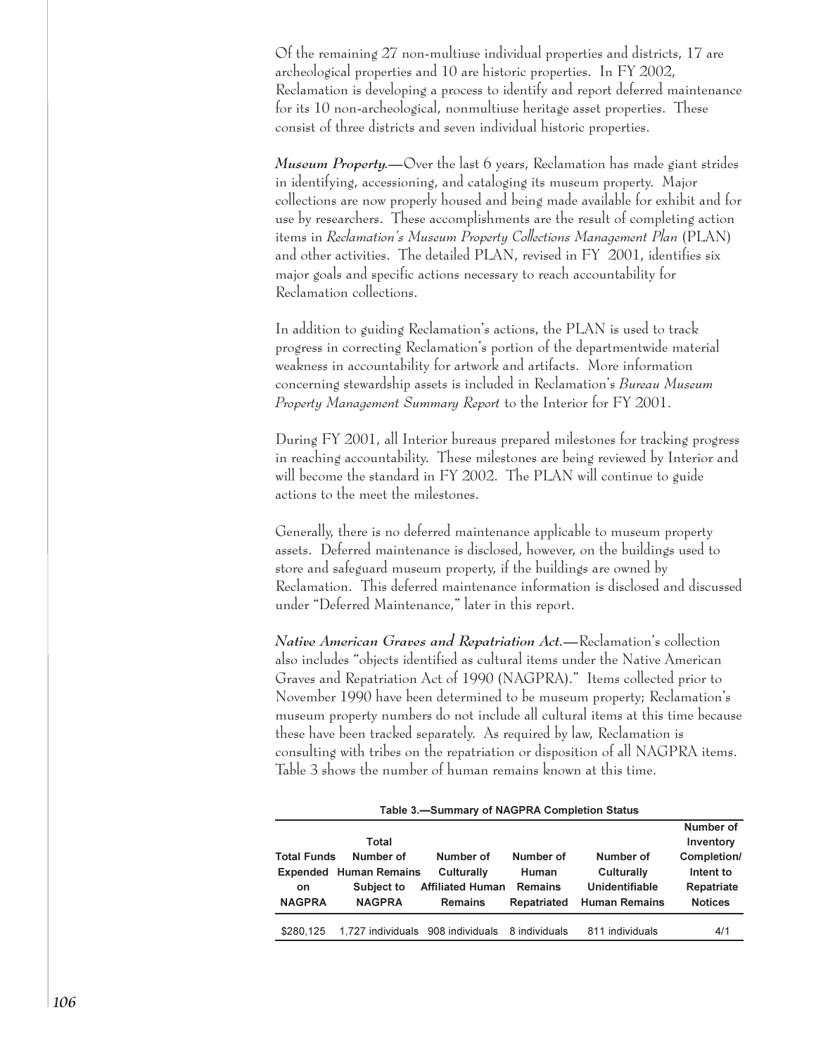Of the remaining 27 non-multiuse individual properties and districts, 17 are archeological properties and 10 are historic properties. In FY 2002, Reclamation is developing a process to identify and report deferred maintenance for its 10 non-archeological, nonmultiuse heritage asset properties. These consist of three districts and seven individual historic properties.

Museum Property.—Over the last 6 years, Reclamation has made giant strides in identifying, accessioning, and cataloging its museum property. Major collections are now properly housed and being made available for exhibit and for use by researchers. These accomplishments are the result of completing action items in Reclamation's Museum Property Collections Management Plan (PLAN) and other activities. The detailed PLAN, revised in FY 2001, identifies six major goals and specific actions necessary to reach accountability for Reclamation collections.

In addition to guiding Reclamation's actions, the PLAN is used to track progress in correcting Reclamation's portion of the departmentwide material weakness in accountability for artwork and artifacts. More information concerning stewardship assets is included in Reclamation's Bureau Museum Property Management Summary Report to the Interior for FY 2001.

During FY 2001, all Interior bureaus prepared milestones for tracking progress in reaching accountability. These milestones are being reviewed by Interior and will become the standard in FY 2002. The PLAN will continue to guide actions to the meet the milestones.

Generally, there is no deferred maintenance applicable to museum property assets. Deferred maintenance is disclosed, however, on the buildings used to store and safeguard museum property, if the buildings are owned by Reclamation. This deferred maintenance information is disclosed and discussed under "Deferred Maintenance," later in this report.

Native American Graves and Repatriation Act.—Reclamation's collection also includes "objects identified as cultural items under the Native American Graves and Repatriation Act of 1990 (NAGPRA)." Items collected prior to November 1990 have been determined to be museum property; Reclamation's museum property numbers do not include all cultural items at this time because these have been tracked separately. As required by law, Reclamation is consulting with tribes on the repatriation or disposition of all NAGPRA items. Table 3 shows the number of human remains known at this time.

| Table 3.-Summary of NAGPRA Completion Status |                               |                         |                |                      |                                       |  |  |
|----------------------------------------------|-------------------------------|-------------------------|----------------|----------------------|---------------------------------------|--|--|
| <b>Total Funds</b>                           | Total<br>Number of            | Number of               | Number of      | Number of            | Number of<br>Inventory<br>Completion/ |  |  |
|                                              | <b>Expended Human Remains</b> | Culturally              | Human          | Culturally           | Intent to                             |  |  |
| <b>on</b>                                    | Subject to                    | <b>Affiliated Human</b> | <b>Remains</b> | Unidentifiable       | Repatriate                            |  |  |
| <b>NAGPRA</b>                                | <b>NAGPRA</b>                 | <b>Remains</b>          | Repatriated    | <b>Human Remains</b> | <b>Notices</b>                        |  |  |
| \$280.125                                    | 1.727 individuals             | 908 individuals         | 8 individuals  | 811 individuals      | 4/1                                   |  |  |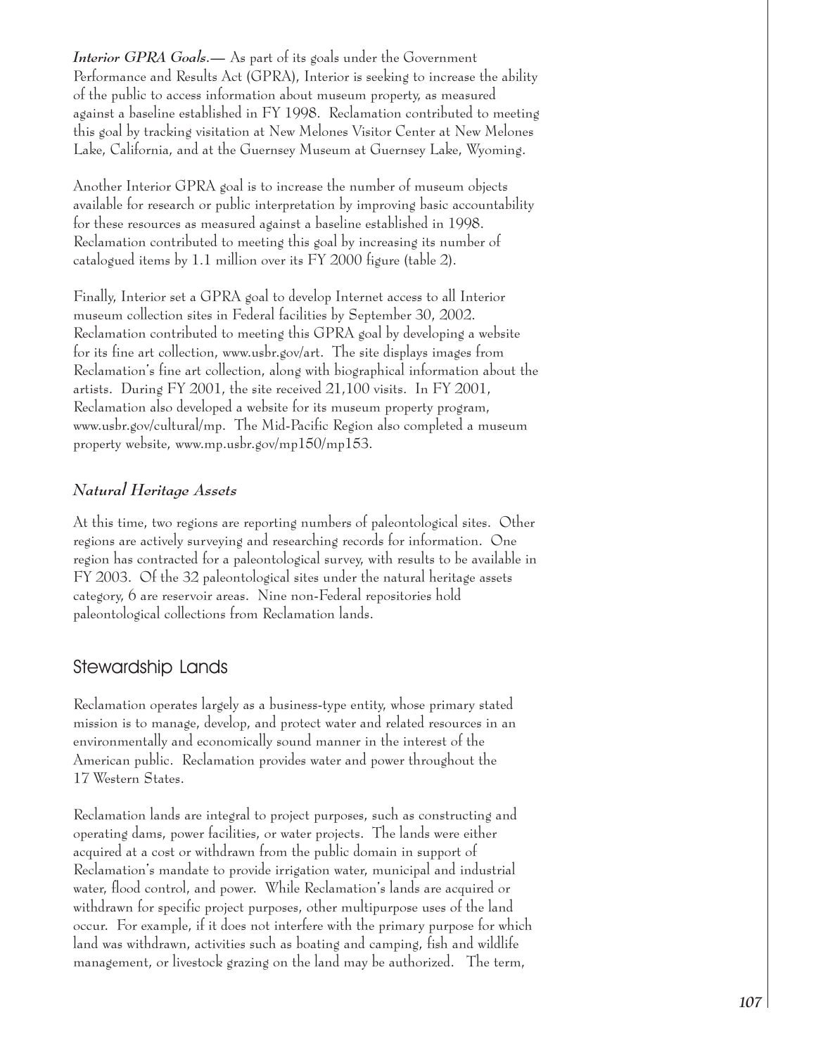Interior GPRA Goals.— As part of its goals under the Government Performance and Results Act (GPRA), Interior is seeking to increase the ability of the public to access information about museum property, as measured against a baseline established in FY 1998. Reclamation contributed to meeting this goal by tracking visitation at New Melones Visitor Center at New Melones Lake, California, and at the Guernsey Museum at Guernsey Lake, Wyoming.

Another Interior GPRA goal is to increase the number of museum objects available for research or public interpretation by improving basic accountability for these resources as measured against a baseline established in 1998. Reclamation contributed to meeting this goal by increasing its number of catalogued items by 1.1 million over its FY 2000 figure (table 2).

Finally, Interior set a GPRA goal to develop Internet access to all Interior museum collection sites in Federal facilities by September 30, 2002. Reclamation contributed to meeting this GPRA goal by developing a website for its fine art collection, www.usbr.gov/art. The site displays images from Reclamation's fine art collection, along with biographical information about the artists. During FY 2001, the site received 21,100 visits. In FY 2001, Reclamation also developed a website for its museum property program, www.usbr.gov/cultural/mp. The Mid-Pacific Region also completed a museum property website, www.mp.usbr.gov/mp150/mp153.

## Natural Heritage Assets

At this time, two regions are reporting numbers of paleontological sites. Other regions are actively surveying and researching records for information. One region has contracted for a paleontological survey, with results to be available in FY 2003. Of the 32 paleontological sites under the natural heritage assets category, 6 are reservoir areas. Nine non-Federal repositories hold paleontological collections from Reclamation lands.

## Stewardship Lands

Reclamation operates largely as a business-type entity, whose primary stated mission is to manage, develop, and protect water and related resources in an environmentally and economically sound manner in the interest of the American public. Reclamation provides water and power throughout the 17 Western States.

Reclamation lands are integral to project purposes, such as constructing and operating dams, power facilities, or water projects. The lands were either acquired at a cost or withdrawn from the public domain in support of Reclamation's mandate to provide irrigation water, municipal and industrial water, flood control, and power. While Reclamation's lands are acquired or withdrawn for specific project purposes, other multipurpose uses of the land occur. For example, if it does not interfere with the primary purpose for which land was withdrawn, activities such as boating and camping, fish and wildlife management, or livestock grazing on the land may be authorized. The term,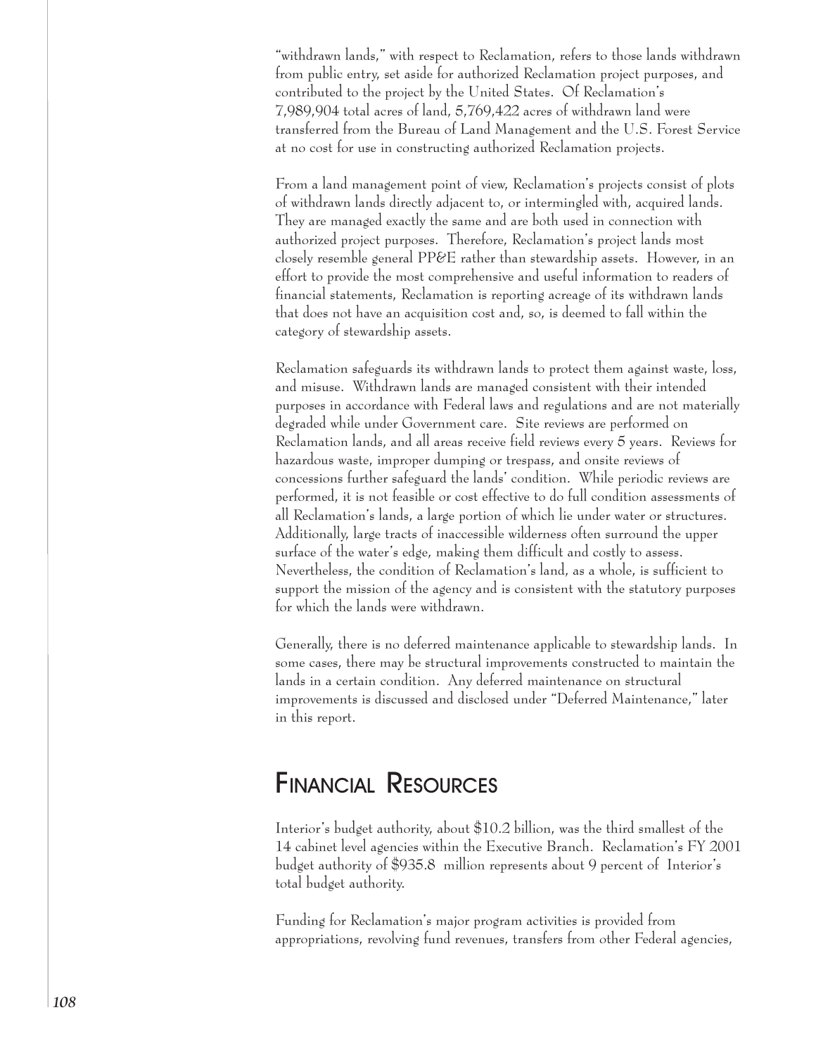"withdrawn lands," with respect to Reclamation, refers to those lands withdrawn from public entry, set aside for authorized Reclamation project purposes, and contributed to the project by the United States. Of Reclamation's 7,989,904 total acres of land, 5,769,422 acres of withdrawn land were transferred from the Bureau of Land Management and the U.S. Forest Service at no cost for use in constructing authorized Reclamation projects.

From a land management point of view, Reclamation's projects consist of plots of withdrawn lands directly adjacent to, or intermingled with, acquired lands. They are managed exactly the same and are both used in connection with authorized project purposes. Therefore, Reclamation's project lands most closely resemble general PP&E rather than stewardship assets. However, in an effort to provide the most comprehensive and useful information to readers of financial statements, Reclamation is reporting acreage of its withdrawn lands that does not have an acquisition cost and, so, is deemed to fall within the category of stewardship assets.

Reclamation safeguards its withdrawn lands to protect them against waste, loss, and misuse. Withdrawn lands are managed consistent with their intended purposes in accordance with Federal laws and regulations and are not materially degraded while under Government care. Site reviews are performed on Reclamation lands, and all areas receive field reviews every 5 years. Reviews for hazardous waste, improper dumping or trespass, and onsite reviews of concessions further safeguard the lands' condition. While periodic reviews are performed, it is not feasible or cost effective to do full condition assessments of all Reclamation's lands, a large portion of which lie under water or structures. Additionally, large tracts of inaccessible wilderness often surround the upper surface of the water's edge, making them difficult and costly to assess. Nevertheless, the condition of Reclamation's land, as a whole, is sufficient to support the mission of the agency and is consistent with the statutory purposes for which the lands were withdrawn.

Generally, there is no deferred maintenance applicable to stewardship lands. In some cases, there may be structural improvements constructed to maintain the lands in a certain condition. Any deferred maintenance on structural improvements is discussed and disclosed under "Deferred Maintenance," later in this report.

## **FINANCIAL RESOURCES**

Interior's budget authority, about \$10.2 billion, was the third smallest of the 14 cabinet level agencies within the Executive Branch. Reclamation's FY 2001 budget authority of \$935.8 million represents about 9 percent of Interior's total budget authority.

Funding for Reclamation's major program activities is provided from appropriations, revolving fund revenues, transfers from other Federal agencies,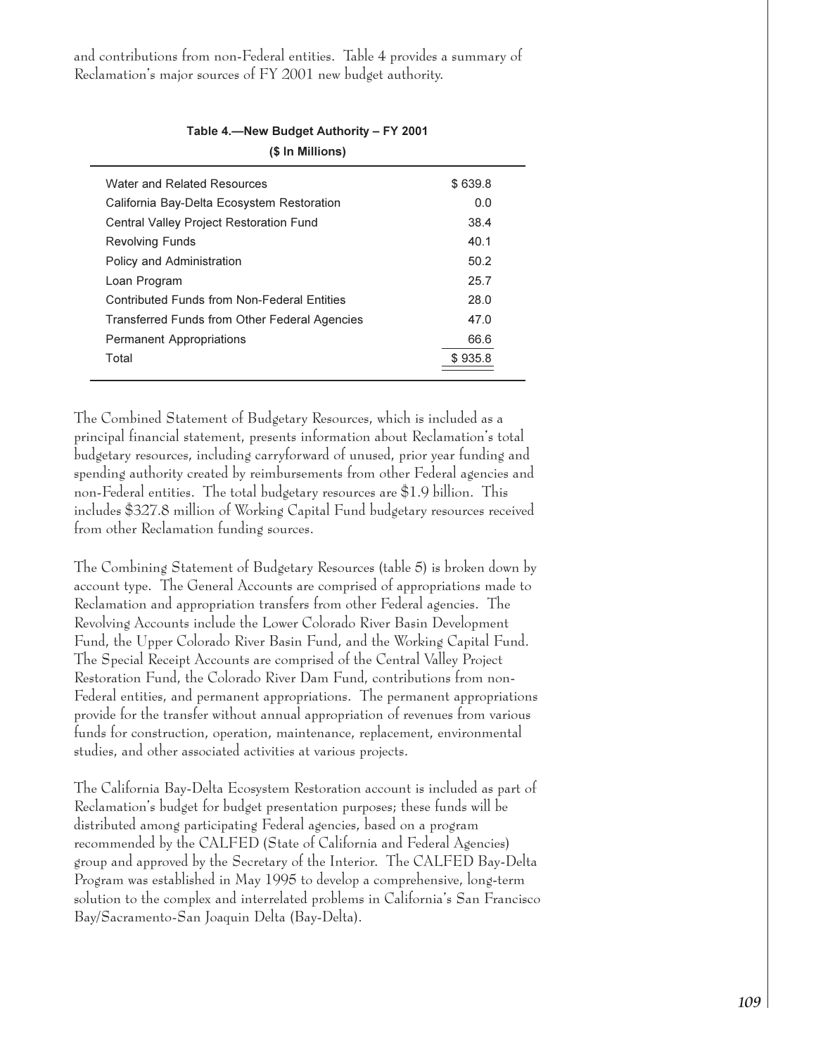and contributions from non-Federal entities. Table 4 provides a summary of Reclamation's major sources of FY 2001 new budget authority.

| (\$ In Millions)                              |         |
|-----------------------------------------------|---------|
| Water and Related Resources                   | \$639.8 |
| California Bay-Delta Ecosystem Restoration    | 0.0     |
| Central Valley Project Restoration Fund       | 38.4    |
| <b>Revolving Funds</b>                        | 40.1    |
| Policy and Administration                     | 50.2    |
| Loan Program                                  | 25.7    |
| Contributed Funds from Non-Federal Entities   | 28.0    |
| Transferred Funds from Other Federal Agencies | 47.0    |
| <b>Permanent Appropriations</b>               | 66.6    |
| Total                                         | \$935.8 |

Table 4.-New Budget Authority - FY 2001

The Combined Statement of Budgetary Resources, which is included as a principal financial statement, presents information about Reclamation's total budgetary resources, including carryforward of unused, prior year funding and spending authority created by reimbursements from other Federal agencies and non-Federal entities. The total budgetary resources are \$1.9 billion. This includes \$327.8 million of Working Capital Fund budgetary resources received from other Reclamation funding sources.

The Combining Statement of Budgetary Resources (table 5) is broken down by account type. The General Accounts are comprised of appropriations made to Reclamation and appropriation transfers from other Federal agencies. The Revolving Accounts include the Lower Colorado River Basin Development Fund, the Upper Colorado River Basin Fund, and the Working Capital Fund. The Special Receipt Accounts are comprised of the Central Valley Project Restoration Fund, the Colorado River Dam Fund, contributions from non-Federal entities, and permanent appropriations. The permanent appropriations provide for the transfer without annual appropriation of revenues from various funds for construction, operation, maintenance, replacement, environmental studies, and other associated activities at various projects.

The California Bay-Delta Ecosystem Restoration account is included as part of Reclamation's budget for budget presentation purposes; these funds will be distributed among participating Federal agencies, based on a program recommended by the CALFED (State of California and Federal Agencies) group and approved by the Secretary of the Interior. The CALFED Bay-Delta Program was established in May 1995 to develop a comprehensive, long-term solution to the complex and interrelated problems in California's San Francisco Bay/Sacramento-San Joaquin Delta (Bay-Delta).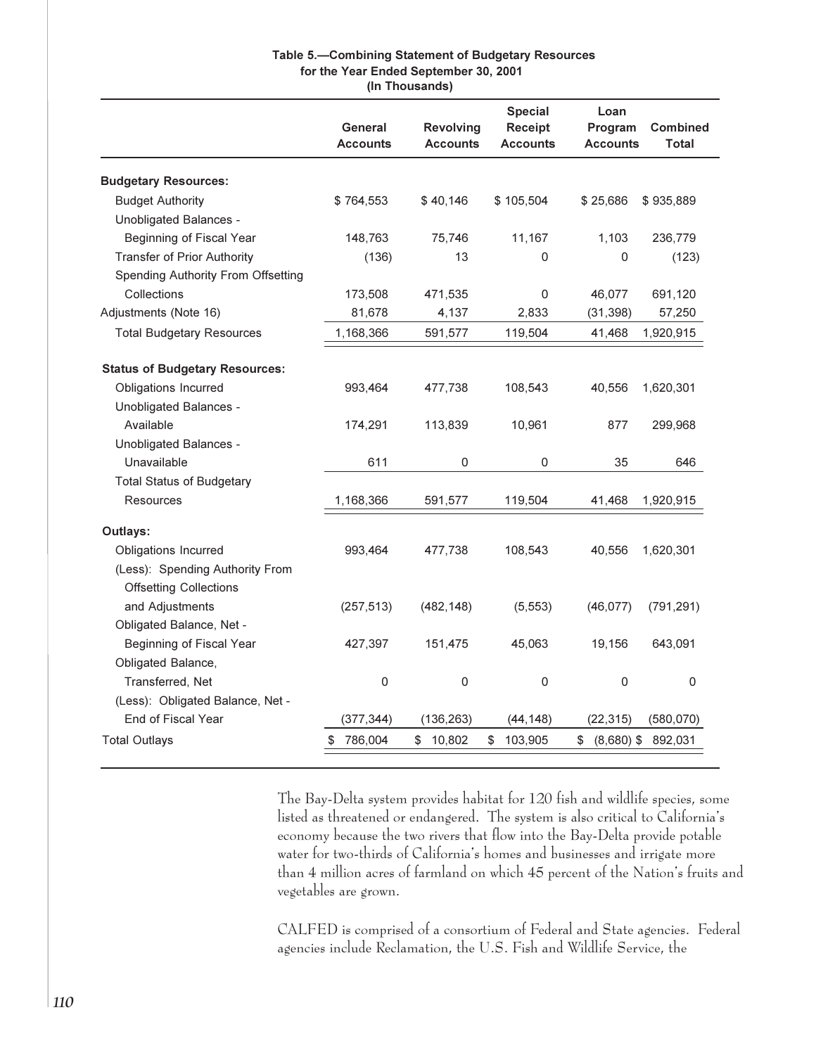### Table 5.-Combining Statement of Budgetary Resources for the Year Ended September 30, 2001 (In Thousands)

|                                       | General<br><b>Accounts</b> | <b>Revolving</b><br><b>Accounts</b> | <b>Special</b><br><b>Receipt</b><br><b>Accounts</b> | Loan<br>Program<br><b>Accounts</b> | <b>Combined</b><br><b>Total</b> |
|---------------------------------------|----------------------------|-------------------------------------|-----------------------------------------------------|------------------------------------|---------------------------------|
| <b>Budgetary Resources:</b>           |                            |                                     |                                                     |                                    |                                 |
| <b>Budget Authority</b>               | \$764,553                  | \$40,146                            | \$105,504                                           | \$25,686                           | \$935,889                       |
| Unobligated Balances -                |                            |                                     |                                                     |                                    |                                 |
| Beginning of Fiscal Year              | 148,763                    | 75,746                              | 11,167                                              | 1,103                              | 236,779                         |
| <b>Transfer of Prior Authority</b>    | (136)                      | 13                                  | 0                                                   | 0                                  | (123)                           |
| Spending Authority From Offsetting    |                            |                                     |                                                     |                                    |                                 |
| Collections                           | 173,508                    | 471,535                             | 0                                                   | 46,077                             | 691,120                         |
| Adjustments (Note 16)                 | 81,678                     | 4,137                               | 2,833                                               | (31, 398)                          | 57,250                          |
| <b>Total Budgetary Resources</b>      | 1,168,366                  | 591,577                             | 119,504                                             | 41,468                             | 1,920,915                       |
| <b>Status of Budgetary Resources:</b> |                            |                                     |                                                     |                                    |                                 |
| Obligations Incurred                  | 993,464                    | 477,738                             | 108,543                                             | 40,556                             | 1,620,301                       |
| Unobligated Balances -                |                            |                                     |                                                     |                                    |                                 |
| Available                             | 174,291                    | 113,839                             | 10,961                                              | 877                                | 299,968                         |
| Unobligated Balances -                |                            |                                     |                                                     |                                    |                                 |
| Unavailable                           | 611                        | 0                                   | 0                                                   | 35                                 | 646                             |
| <b>Total Status of Budgetary</b>      |                            |                                     |                                                     |                                    |                                 |
| <b>Resources</b>                      | 1,168,366                  | 591,577                             | 119,504                                             | 41,468                             | 1,920,915                       |
| Outlays:                              |                            |                                     |                                                     |                                    |                                 |
| Obligations Incurred                  | 993,464                    | 477,738                             | 108,543                                             | 40,556                             | 1,620,301                       |
| (Less): Spending Authority From       |                            |                                     |                                                     |                                    |                                 |
| <b>Offsetting Collections</b>         |                            |                                     |                                                     |                                    |                                 |
| and Adjustments                       | (257, 513)                 | (482, 148)                          | (5, 553)                                            | (46, 077)                          | (791, 291)                      |
| Obligated Balance, Net -              |                            |                                     |                                                     |                                    |                                 |
| Beginning of Fiscal Year              | 427,397                    | 151,475                             | 45,063                                              | 19,156                             | 643,091                         |
| Obligated Balance,                    |                            |                                     |                                                     |                                    |                                 |
| Transferred, Net                      | 0                          | 0                                   | 0                                                   | 0                                  | 0                               |
| (Less): Obligated Balance, Net -      |                            |                                     |                                                     |                                    |                                 |
| End of Fiscal Year                    | (377, 344)                 | (136, 263)                          | (44, 148)                                           | (22, 315)                          | (580, 070)                      |
| <b>Total Outlays</b>                  | 786,004<br>\$              | \$<br>10,802                        | 103,905<br>\$                                       | $(8,680)$ \$<br>\$                 | 892,031                         |
|                                       |                            |                                     |                                                     |                                    |                                 |

The Bay-Delta system provides habitat for 120 fish and wildlife species, some listed as threatened or endangered. The system is also critical to California's economy because the two rivers that flow into the Bay-Delta provide potable water for two-thirds of California's homes and businesses and irrigate more than 4 million acres of farmland on which 45 percent of the Nation's fruits and vegetables are grown.

CALFED is comprised of a consortium of Federal and State agencies. Federal agencies include Reclamation, the U.S. Fish and Wildlife Service, the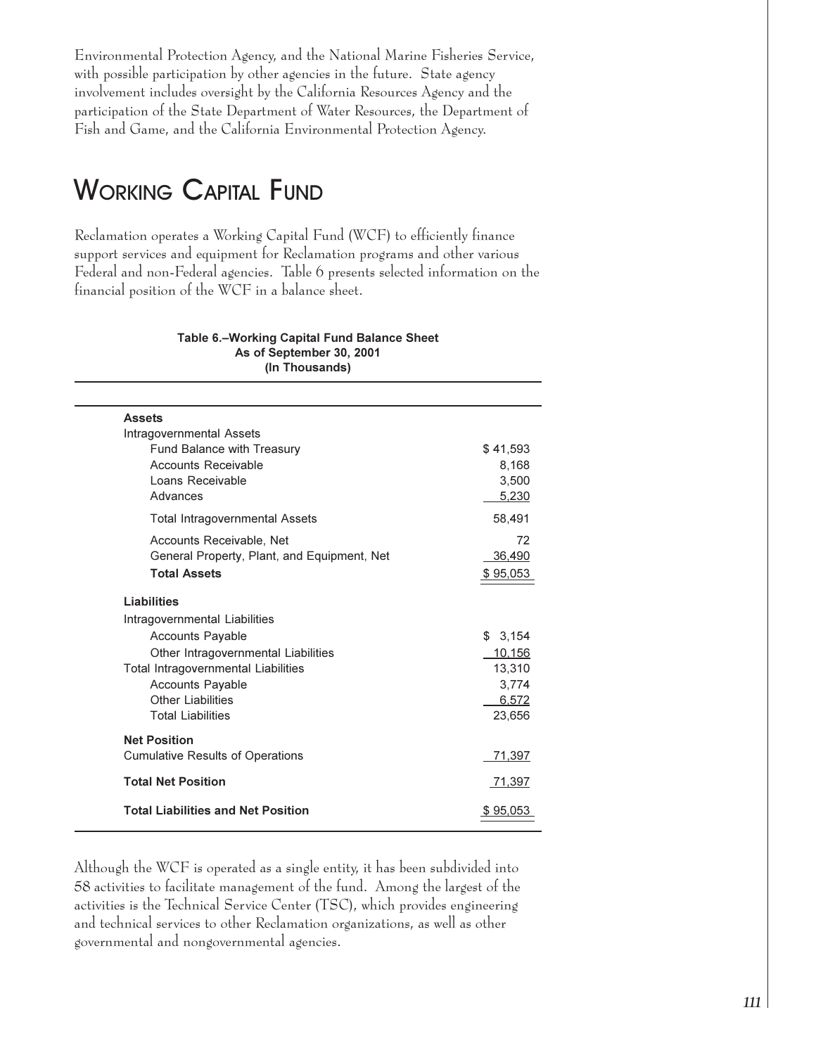Environmental Protection Agency, and the National Marine Fisheries Service, with possible participation by other agencies in the future. State agency involvement includes oversight by the California Resources Agency and the participation of the State Department of Water Resources, the Department of Fish and Game, and the California Environmental Protection Agency.

# **WORKING CAPITAL FUND**

Reclamation operates a Working Capital Fund (WCF) to efficiently finance support services and equipment for Reclamation programs and other various Federal and non-Federal agencies. Table 6 presents selected information on the financial position of the WCF in a balance sheet.

#### Table 6.-Working Capital Fund Balance Sheet As of September 30, 2001 (In Thousands)

| <b>Assets</b>                               |          |
|---------------------------------------------|----------|
| Intragovernmental Assets                    |          |
| Fund Balance with Treasury                  | \$41,593 |
| Accounts Receivable                         | 8,168    |
| Loans Receivable                            | 3,500    |
| Advances                                    | 5.230    |
| <b>Total Intragovernmental Assets</b>       | 58,491   |
| Accounts Receivable, Net                    | 72       |
| General Property, Plant, and Equipment, Net | 36,490   |
| <b>Total Assets</b>                         | \$95,053 |
| Liabilities                                 |          |
| Intragovernmental Liabilities               |          |
| <b>Accounts Payable</b>                     | \$3,154  |
| Other Intragovernmental Liabilities         | 10,156   |
| <b>Total Intragovernmental Liabilities</b>  | 13,310   |
| <b>Accounts Payable</b>                     | 3,774    |
| Other Liabilities                           | 6,572    |
| <b>Total Liabilities</b>                    | 23.656   |
| <b>Net Position</b>                         |          |
| <b>Cumulative Results of Operations</b>     | 71,397   |
| <b>Total Net Position</b>                   | 71,397   |
| <b>Total Liabilities and Net Position</b>   | \$95,053 |

Although the WCF is operated as a single entity, it has been subdivided into 58 activities to facilitate management of the fund. Among the largest of the activities is the Technical Service Center (TSC), which provides engineering and technical services to other Reclamation organizations, as well as other governmental and nongovernmental agencies.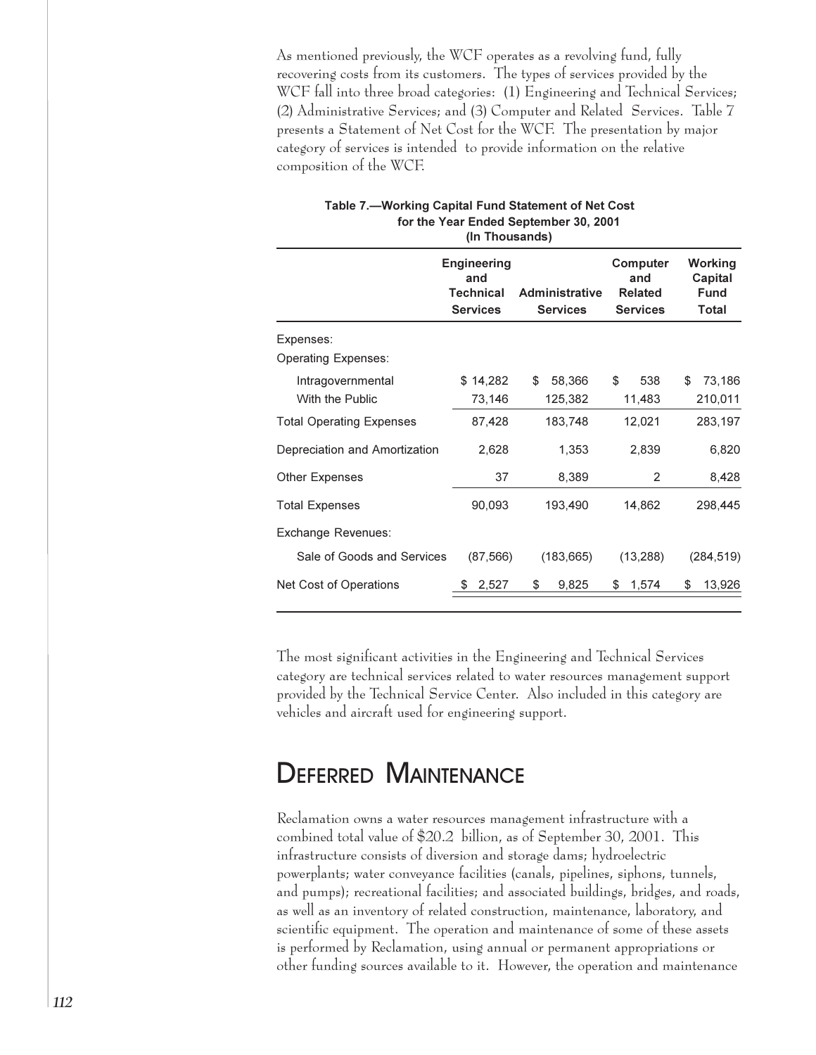As mentioned previously, the WCF operates as a revolving fund, fully recovering costs from its customers. The types of services provided by the WCF fall into three broad categories: (1) Engineering and Technical Services; (2) Administrative Services; and (3) Computer and Related Services. Table 7 presents a Statement of Net Cost for the WCF. The presentation by major category of services is intended to provide information on the relative composition of the WCF.

|                                 | 111 111000011007                              |                       |                                   |                                   |
|---------------------------------|-----------------------------------------------|-----------------------|-----------------------------------|-----------------------------------|
|                                 | <b>Engineering</b><br>and<br><b>Technical</b> | <b>Administrative</b> | Computer<br>and<br><b>Related</b> | Working<br>Capital<br><b>Fund</b> |
|                                 | <b>Services</b>                               | <b>Services</b>       | <b>Services</b>                   | Total                             |
| Expenses:                       |                                               |                       |                                   |                                   |
| <b>Operating Expenses:</b>      |                                               |                       |                                   |                                   |
| Intragovernmental               | \$14,282                                      | \$<br>58,366          | \$<br>538                         | \$<br>73,186                      |
| With the Public                 | 73,146                                        | 125,382               | 11,483                            | 210,011                           |
| <b>Total Operating Expenses</b> | 87,428                                        | 183,748               | 12,021                            | 283,197                           |
| Depreciation and Amortization   | 2,628                                         | 1,353                 | 2,839                             | 6,820                             |
| Other Expenses                  | 37                                            | 8,389                 | 2                                 | 8,428                             |
| <b>Total Expenses</b>           | 90,093                                        | 193,490               | 14,862                            | 298,445                           |
| Exchange Revenues:              |                                               |                       |                                   |                                   |
| Sale of Goods and Services      | (87, 566)                                     | (183, 665)            | (13, 288)                         | (284, 519)                        |
| Net Cost of Operations          | 2,527                                         | \$<br>9,825           | \$<br>1,574                       | \$<br>13,926                      |
|                                 |                                               |                       |                                   |                                   |

Table 7.-Working Capital Fund Statement of Net Cost for the Year Ended September 30, 2001 (In Thousands)

The most significant activities in the Engineering and Technical Services category are technical services related to water resources management support provided by the Technical Service Center. Also included in this category are vehicles and aircraft used for engineering support.

## **DEFERRED MAINTENANCE**

Reclamation owns a water resources management infrastructure with a combined total value of \$20.2 billion, as of September 30, 2001. This infrastructure consists of diversion and storage dams; hydroelectric powerplants; water conveyance facilities (canals, pipelines, siphons, tunnels, and pumps); recreational facilities; and associated buildings, bridges, and roads, as well as an inventory of related construction, maintenance, laboratory, and scientific equipment. The operation and maintenance of some of these assets is performed by Reclamation, using annual or permanent appropriations or other funding sources available to it. However, the operation and maintenance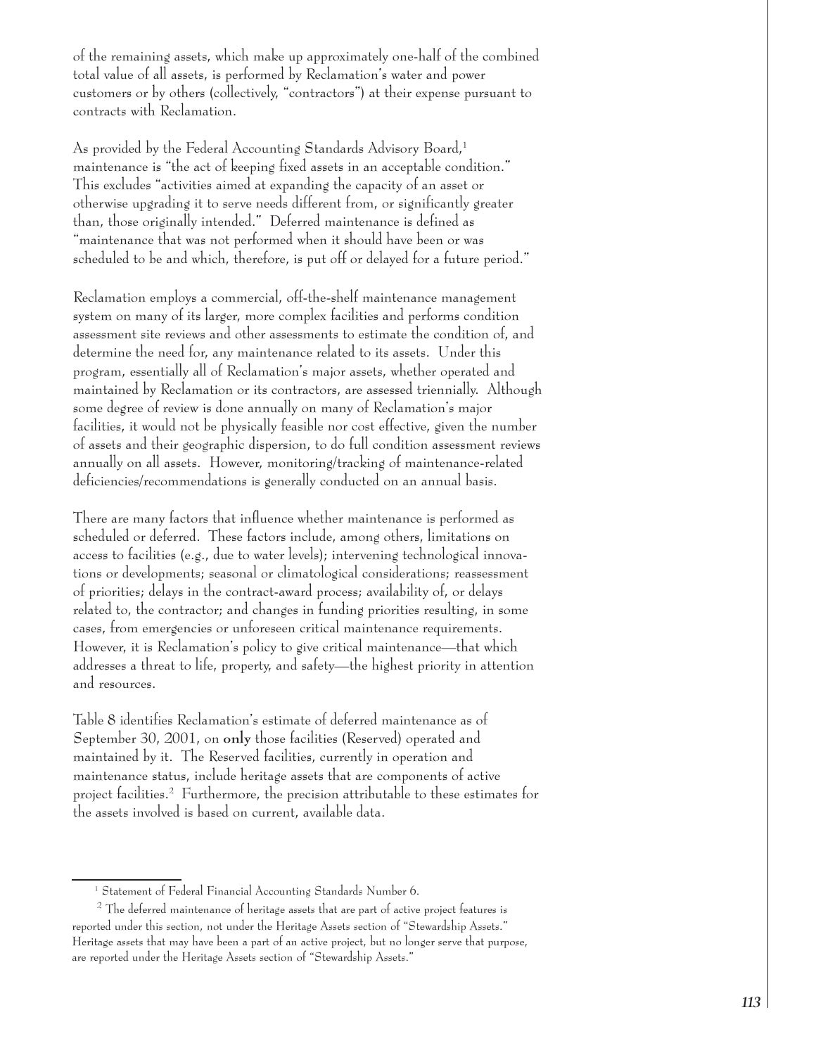of the remaining assets, which make up approximately one-half of the combined total value of all assets, is performed by Reclamation's water and power customers or by others (collectively, "contractors") at their expense pursuant to contracts with Reclamation.

As provided by the Federal Accounting Standards Advisory Board,<sup>1</sup> maintenance is "the act of keeping fixed assets in an acceptable condition." This excludes "activities aimed at expanding the capacity of an asset or otherwise upgrading it to serve needs different from, or significantly greater than, those originally intended." Deferred maintenance is defined as "maintenance that was not performed when it should have been or was scheduled to be and which, therefore, is put off or delayed for a future period."

Reclamation employs a commercial, off-the-shelf maintenance management system on many of its larger, more complex facilities and performs condition assessment site reviews and other assessments to estimate the condition of, and determine the need for, any maintenance related to its assets. Under this program, essentially all of Reclamation's major assets, whether operated and maintained by Reclamation or its contractors, are assessed triennially. Although some degree of review is done annually on many of Reclamation's major facilities, it would not be physically feasible nor cost effective, given the number of assets and their geographic dispersion, to do full condition assessment reviews annually on all assets. However, monitoring/tracking of maintenance-related deficiencies/recommendations is generally conducted on an annual basis.

There are many factors that influence whether maintenance is performed as scheduled or deferred. These factors include, among others, limitations on access to facilities (e.g., due to water levels); intervening technological innovations or developments; seasonal or climatological considerations; reassessment of priorities; delays in the contract-award process; availability of, or delays related to, the contractor; and changes in funding priorities resulting, in some cases, from emergencies or unforeseen critical maintenance requirements. However, it is Reclamation's policy to give critical maintenance—that which addresses a threat to life, property, and safety—the highest priority in attention and resources.

Table 8 identifies Reclamation's estimate of deferred maintenance as of September 30, 2001, on only those facilities (Reserved) operated and maintained by it. The Reserved facilities, currently in operation and maintenance status, include heritage assets that are components of active project facilities.<sup>2</sup> Furthermore, the precision attributable to these estimates for the assets involved is based on current, available data.

<sup>&</sup>lt;sup>1</sup> Statement of Federal Financial Accounting Standards Number 6.

<sup>&</sup>lt;sup>2</sup> The deferred maintenance of heritage assets that are part of active project features is reported under this section, not under the Heritage Assets section of "Stewardship Assets." Heritage assets that may have been a part of an active project, but no longer serve that purpose, are reported under the Heritage Assets section of "Stewardship Assets."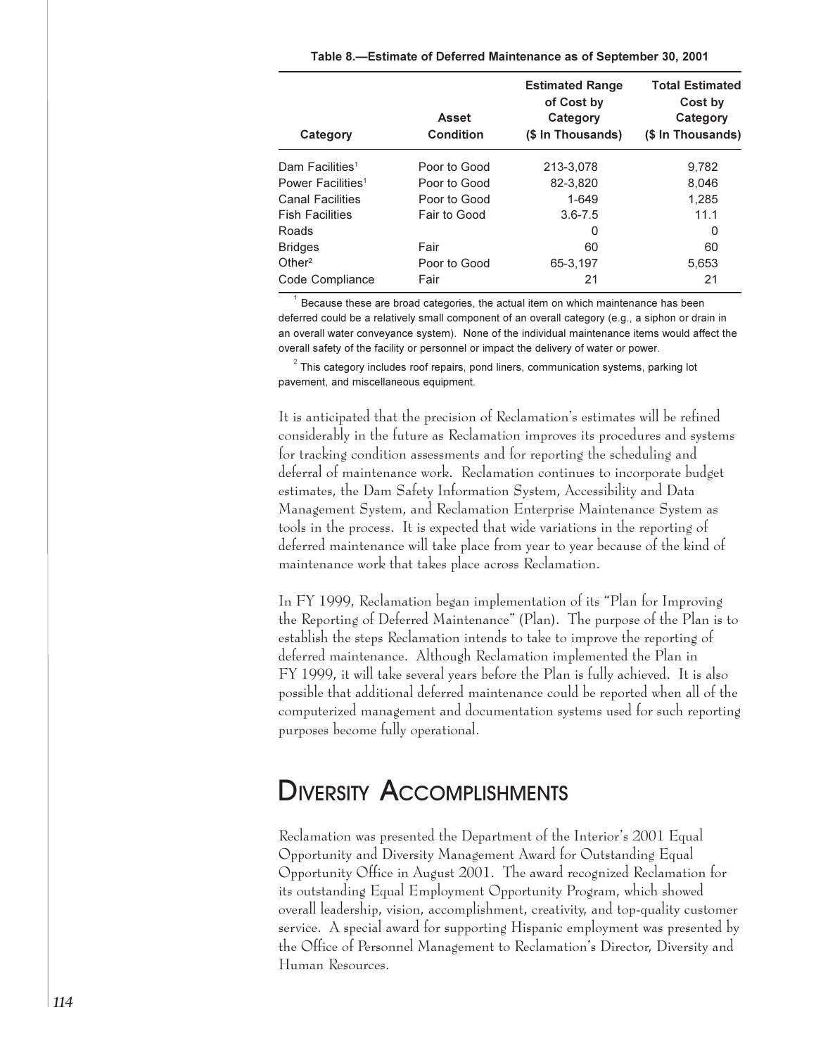| Category                      | <b>Asset</b><br>Condition | <b>Estimated Range</b><br>of Cost by<br>Category<br>(\$ In Thousands) | <b>Total Estimated</b><br>Cost by<br>Category<br>(\$ In Thousands) |
|-------------------------------|---------------------------|-----------------------------------------------------------------------|--------------------------------------------------------------------|
| Dam Facilities <sup>1</sup>   | Poor to Good              | 213-3,078                                                             | 9.782                                                              |
| Power Facilities <sup>1</sup> | Poor to Good              | 82-3,820                                                              | 8.046                                                              |
| <b>Canal Facilities</b>       | Poor to Good              | 1-649                                                                 | 1.285                                                              |
| <b>Fish Facilities</b>        | Fair to Good              | $3.6 - 7.5$                                                           | 11.1                                                               |
| Roads                         |                           | 0                                                                     | 0                                                                  |
| <b>Bridges</b>                | Fair                      | 60                                                                    | 60                                                                 |
| Other <sup>2</sup>            | Poor to Good              | 65-3,197                                                              | 5,653                                                              |
| Code Compliance               | Fair                      | 21                                                                    | 21                                                                 |

Because these are broad categories, the actual item on which maintenance has been deferred could be a relatively small component of an overall category (e.g., a siphon or drain in an overall water conveyance system). None of the individual maintenance items would affect the overall safety of the facility or personnel or impact the delivery of water or power.

 $2$  This category includes roof repairs, pond liners, communication systems, parking lot pavement, and miscellaneous equipment.

It is anticipated that the precision of Reclamation's estimates will be refined considerably in the future as Reclamation improves its procedures and systems for tracking condition assessments and for reporting the scheduling and deferral of maintenance work. Reclamation continues to incorporate budget estimates, the Dam Safety Information System, Accessibility and Data Management System, and Reclamation Enterprise Maintenance System as tools in the process. It is expected that wide variations in the reporting of deferred maintenance will take place from year to year because of the kind of maintenance work that takes place across Reclamation.

In FY 1999, Reclamation began implementation of its "Plan for Improving the Reporting of Deferred Maintenance" (Plan). The purpose of the Plan is to establish the steps Reclamation intends to take to improve the reporting of deferred maintenance. Although Reclamation implemented the Plan in FY 1999, it will take several years before the Plan is fully achieved. It is also possible that additional deferred maintenance could be reported when all of the computerized management and documentation systems used for such reporting purposes become fully operational.

## **DIVERSITY ACCOMPLISHMENTS**

Reclamation was presented the Department of the Interior's 2001 Equal Opportunity and Diversity Management Award for Outstanding Equal Opportunity Office in August 2001. The award recognized Reclamation for its outstanding Equal Employment Opportunity Program, which showed overall leadership, vision, accomplishment, creativity, and top-quality customer service. A special award for supporting Hispanic employment was presented by the Office of Personnel Management to Reclamation's Director, Diversity and Human Resources.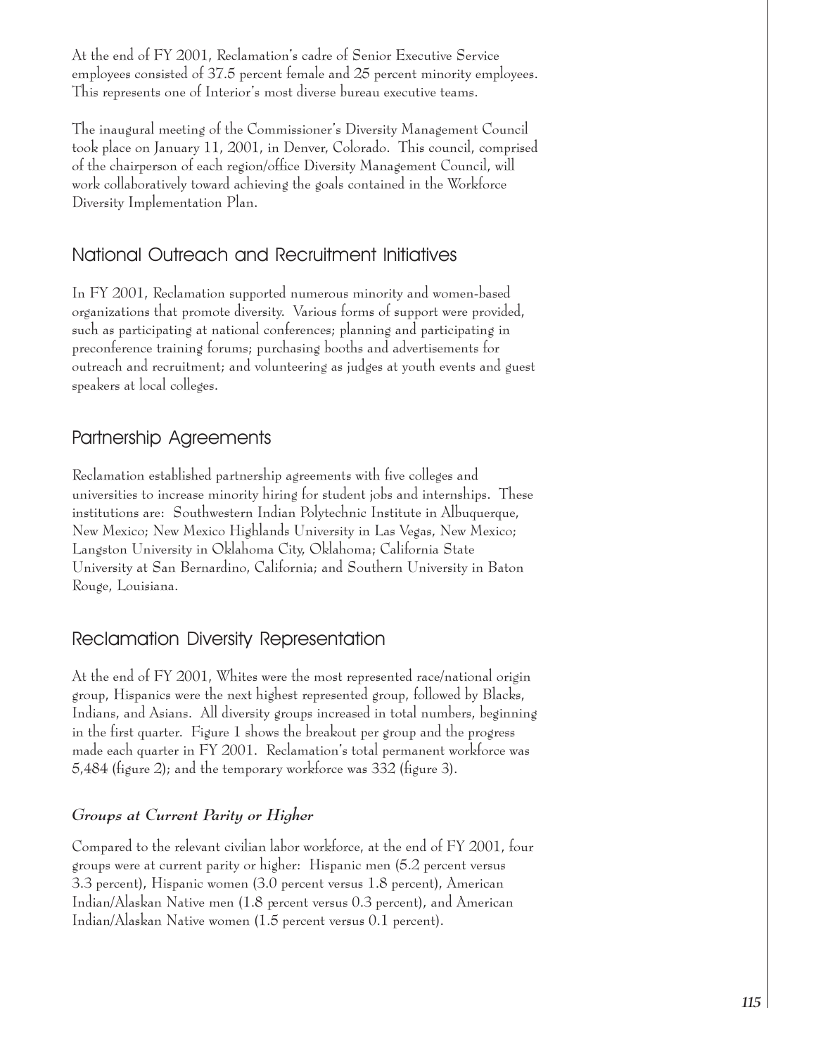At the end of FY 2001, Reclamation's cadre of Senior Executive Service employees consisted of 37.5 percent female and 25 percent minority employees. This represents one of Interior's most diverse bureau executive teams.

The inaugural meeting of the Commissioner's Diversity Management Council took place on January 11, 2001, in Denver, Colorado. This council, comprised of the chairperson of each region/office Diversity Management Council, will work collaboratively toward achieving the goals contained in the Workforce Diversity Implementation Plan.

## National Outreach and Recruitment Initiatives

In FY 2001, Reclamation supported numerous minority and women-based organizations that promote diversity. Various forms of support were provided, such as participating at national conferences; planning and participating in preconference training forums; purchasing booths and advertisements for outreach and recruitment; and volunteering as judges at youth events and guest speakers at local colleges.

## Partnership Agreements

Reclamation established partnership agreements with five colleges and universities to increase minority hiring for student jobs and internships. These institutions are: Southwestern Indian Polytechnic Institute in Albuquerque, New Mexico; New Mexico Highlands University in Las Vegas, New Mexico; Langston University in Oklahoma City, Oklahoma; California State University at San Bernardino, California; and Southern University in Baton Rouge, Louisiana.

## **Reclamation Diversity Representation**

At the end of FY 2001, Whites were the most represented race/national origin group, Hispanics were the next highest represented group, followed by Blacks, Indians, and Asians. All diversity groups increased in total numbers, beginning in the first quarter. Figure 1 shows the breakout per group and the progress made each quarter in FY 2001. Reclamation's total permanent workforce was 5,484 (figure 2); and the temporary workforce was 332 (figure 3).

## Groups at Current Parity or Higher

Compared to the relevant civilian labor workforce, at the end of FY 2001, four groups were at current parity or higher: Hispanic men (5.2 percent versus 3.3 percent), Hispanic women (3.0 percent versus 1.8 percent), American Indian/Alaskan Native men (1.8 percent versus 0.3 percent), and American Indian/Alaskan Native women (1.5 percent versus 0.1 percent).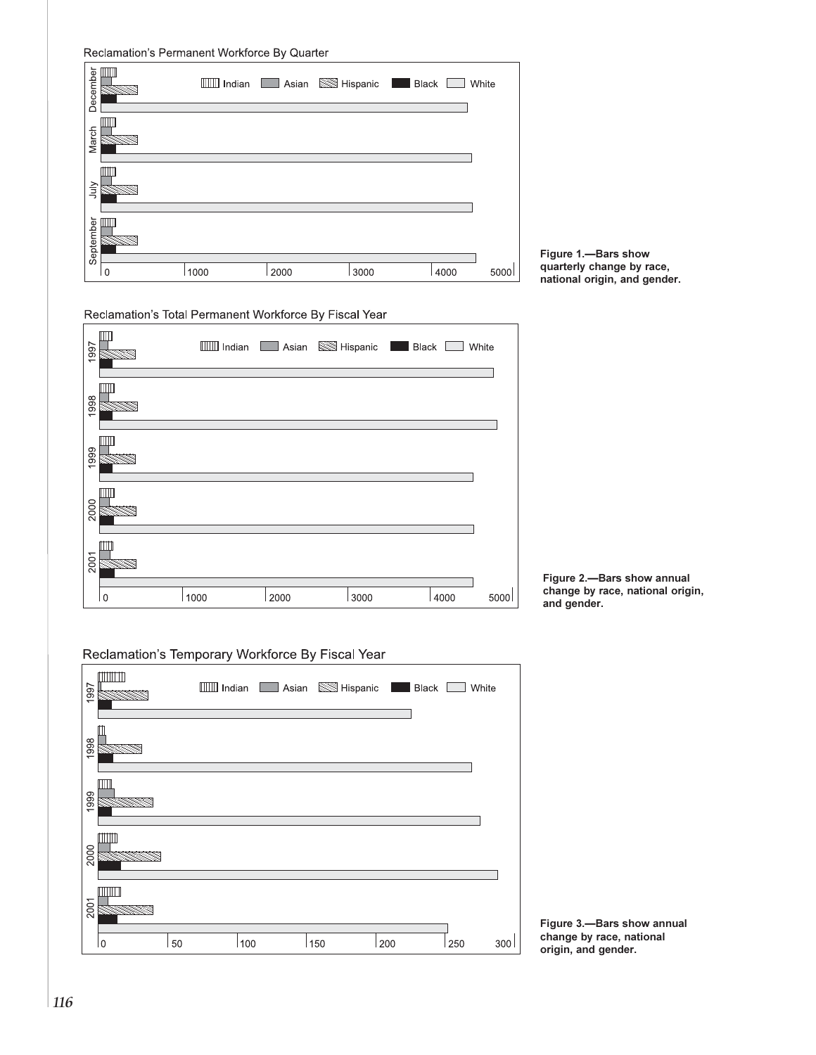Reclamation's Permanent Workforce By Quarter

| December    | Ш            |      |      | IIII Indian Asian Sim Hispanic Black |      | White |
|-------------|--------------|------|------|--------------------------------------|------|-------|
| March       | ШII          |      |      |                                      |      |       |
| <b>Slut</b> | $\mathbb{H}$ |      |      |                                      |      |       |
| September   | $\mathbb{H}$ |      |      |                                      |      |       |
|             | $\Omega$     | 1000 | 2000 | 3000                                 | 4000 | 5000  |



### Reclamation's Total Permanent Workforce By Fiscal Year





Figure 2.- Bars show annual<br>change by race, national origin, and gender.

### Reclamation's Temporary Workforce By Fiscal Year



Figure 3.- Bars show annual change by race, national origin, and gender.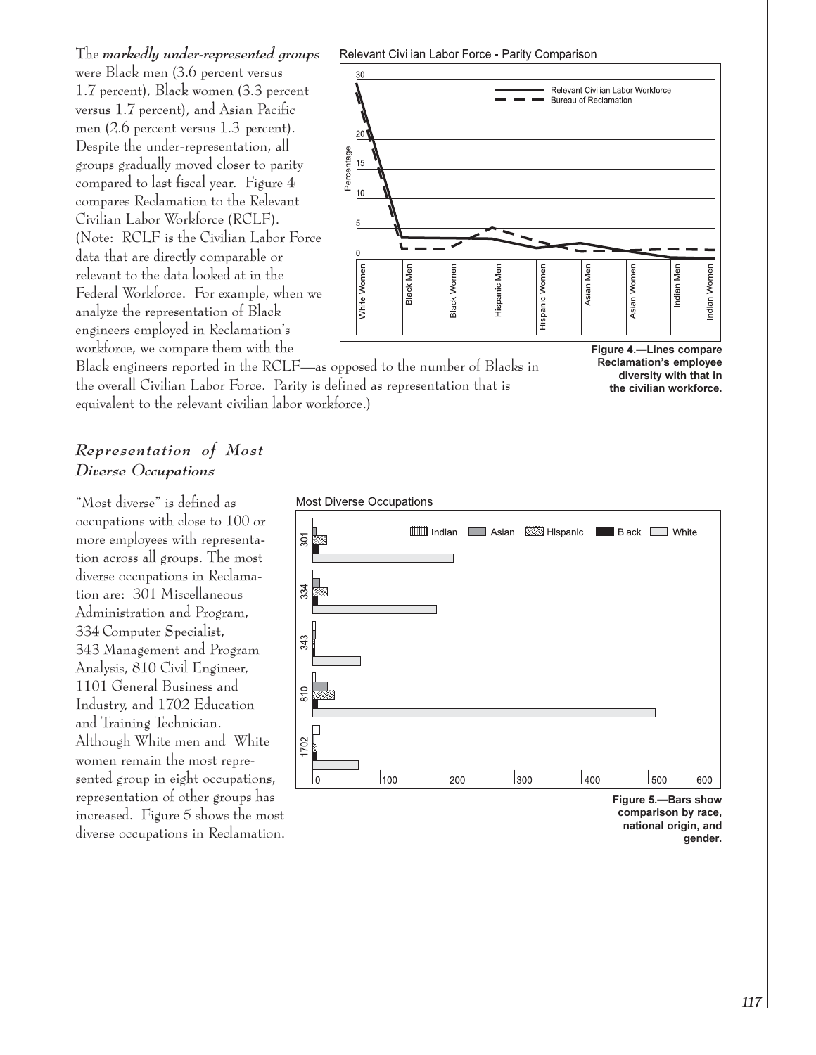The markedly under-represented groups were Black men (3.6 percent versus 1.7 percent), Black women (3.3 percent versus 1.7 percent), and Asian Pacific men  $(2.6$  percent versus 1.3 percent). Despite the under-representation, all groups gradually moved closer to parity compared to last fiscal year. Figure 4 compares Reclamation to the Relevant Civilian Labor Workforce (RCLF). (Note: RCLF is the Civilian Labor Force data that are directly comparable or relevant to the data looked at in the Federal Workforce. For example, when we analyze the representation of Black engineers employed in Reclamation's workforce, we compare them with the

Relevant Civilian Labor Force - Parity Comparison



Black engineers reported in the RCLF—as opposed to the number of Blacks in the overall Civilian Labor Force. Parity is defined as representation that is equivalent to the relevant civilian labor workforce.)



### Representation of Most Diverse Occupations

"Most diverse" is defined as occupations with close to 100 or more employees with representation across all groups. The most diverse occupations in Reclamation are: 301 Miscellaneous Administration and Program, 334 Computer Specialist, 343 Management and Program Analysis, 810 Civil Engineer, 1101 General Business and Industry, and 1702 Education and Training Technician. Although White men and White women remain the most represented group in eight occupations, representation of other groups has increased. Figure 5 shows the most diverse occupations in Reclamation.



national origin, and gender.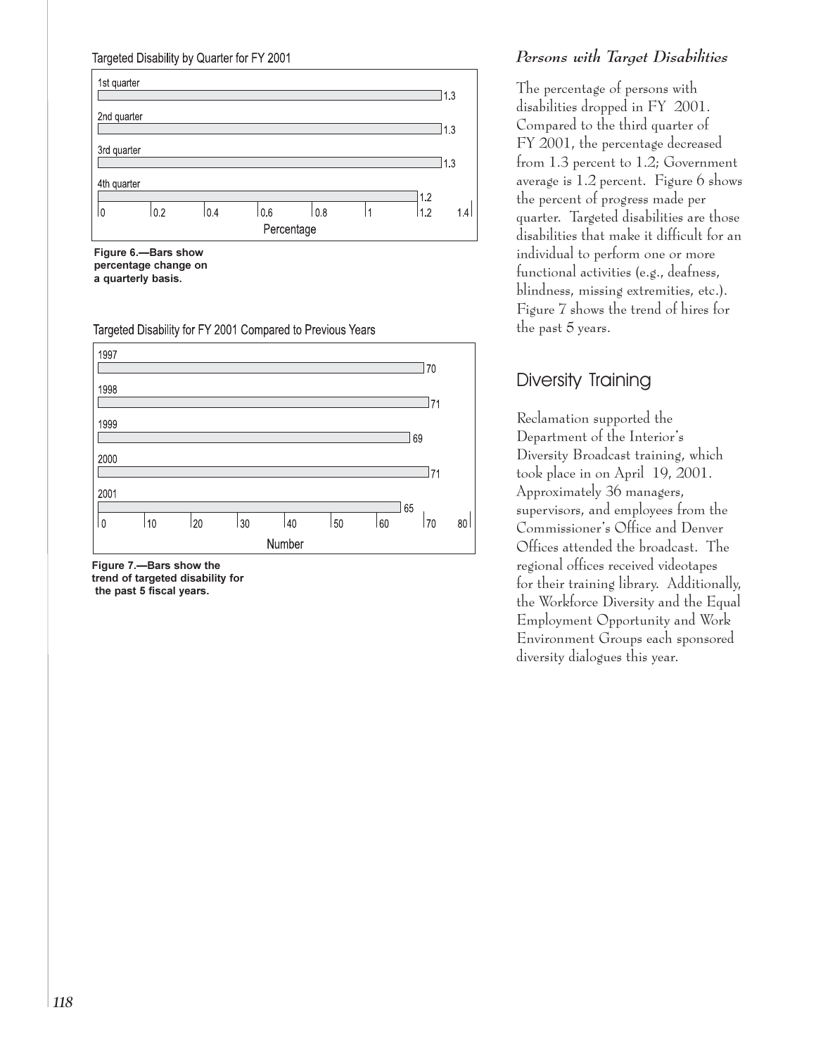### Targeted Disability by Quarter for FY 2001



Figure 6.-Bars show percentage change on a quarterly basis.

Targeted Disability for FY 2001 Compared to Previous Years



Figure 7.- Bars show the trend of targeted disability for the past 5 fiscal years.

### Persons with Target Disabilities

The percentage of persons with disabilities dropped in FY 2001. Compared to the third quarter of FY 2001, the percentage decreased from 1.3 percent to 1.2; Government average is  $1.2$  percent. Figure 6 shows the percent of progress made per quarter. Targeted disabilities are those disabilities that make it difficult for an individual to perform one or more functional activities (e.g., deafness, blindness, missing extremities, etc.). Figure 7 shows the trend of hires for the past 5 years.

## Diversity Training

Reclamation supported the Department of the Interior's Diversity Broadcast training, which took place in on April 19, 2001. Approximately 36 managers, supervisors, and employees from the Commissioner's Office and Denver Offices attended the broadcast. The regional offices received videotapes for their training library. Additionally, the Workforce Diversity and the Equal Employment Opportunity and Work Environment Groups each sponsored diversity dialogues this year.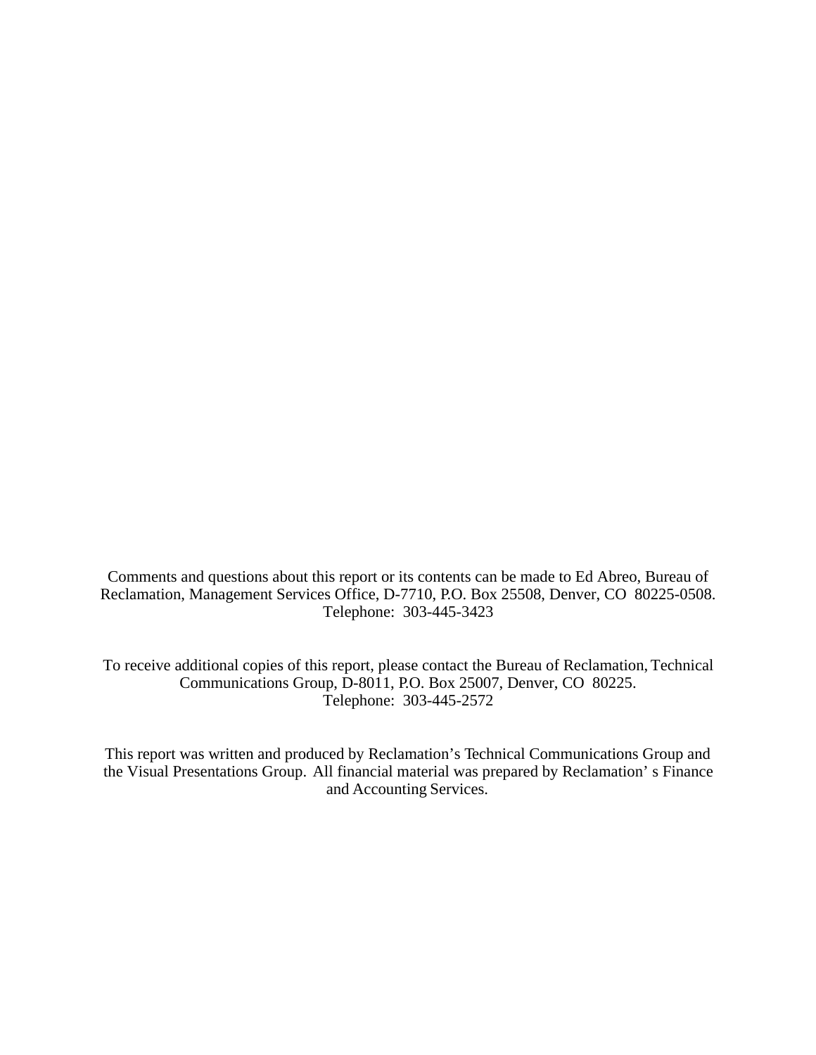Comments and questions about this report or its contents can be made to Ed Abreo, Bureau of Reclamation, Management Services Office, D-7710, P.O. Box 25508, Denver, CO 80225-0508. Telephone: 303-445-3423

To receive additional copies of this report, please contact the Bureau of Reclamation, Technical Communications Group, D-8011, P.O. Box 25007, Denver, CO 80225. Telephone: 303-445-2572

This report was written and produced by Reclamation's Technical Communications Group and the Visual Presentations Group. All financial material was prepared by Reclamation' s Finance and Accounting Services.